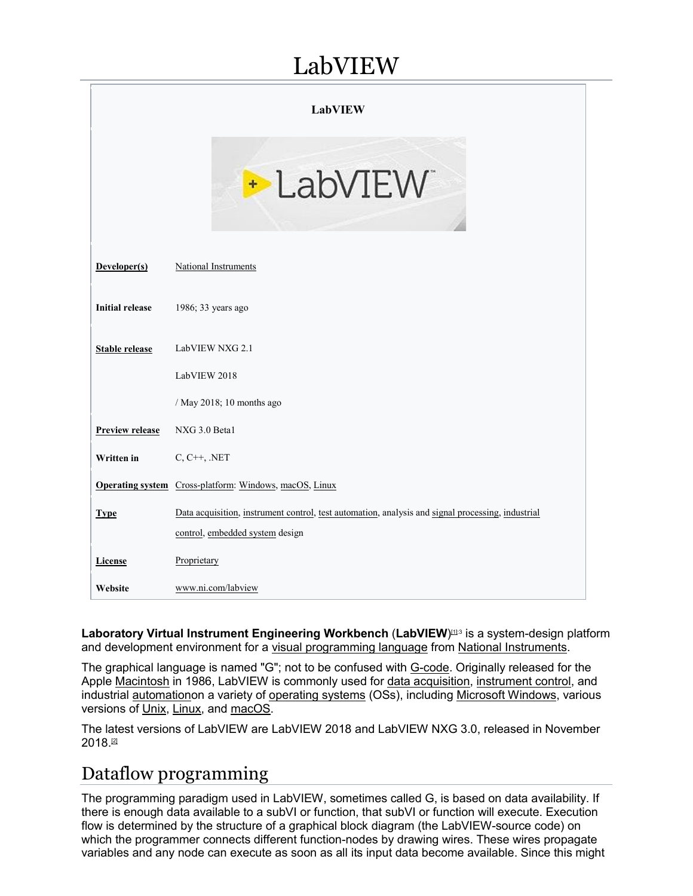# LabVIEW

|                        | <b>LabVIEW</b>                                                                                    |
|------------------------|---------------------------------------------------------------------------------------------------|
|                        | + LabVIEW                                                                                         |
| Developer(s)           | <b>National Instruments</b>                                                                       |
| <b>Initial release</b> | 1986; 33 years ago                                                                                |
| <b>Stable release</b>  | LabVIEW NXG 2.1                                                                                   |
|                        | LabVIEW 2018                                                                                      |
|                        | / May 2018; 10 months ago                                                                         |
| <b>Preview release</b> | NXG 3.0 Beta1                                                                                     |
| Written in             | $C, C++, .NET$                                                                                    |
|                        | <b>Operating system</b> Cross-platform: Windows, macOS, Linux                                     |
| <b>Type</b>            | Data acquisition, instrument control, test automation, analysis and signal processing, industrial |
|                        | control, embedded system design                                                                   |
| License                | Proprietary                                                                                       |
| Website                | www.ni.com/labview                                                                                |

**Laboratory Virtual Instrument Engineering Workbench** (**LabVIEW**)[1]:3 is a system-design platform and development environment for a visual programming language from National Instruments.

The graphical language is named "G"; not to be confused with G-code. Originally released for the Apple Macintosh in 1986, LabVIEW is commonly used for data acquisition, instrument control, and industrial automationon a variety of operating systems (OSs), including Microsoft Windows, various versions of Unix, Linux, and macOS.

The latest versions of LabVIEW are LabVIEW 2018 and LabVIEW NXG 3.0, released in November 2018.[2]

# Dataflow programming

The programming paradigm used in LabVIEW, sometimes called G, is based on data availability. If there is enough data available to a subVI or function, that subVI or function will execute. Execution flow is determined by the structure of a graphical block diagram (the LabVIEW-source code) on which the programmer connects different function-nodes by drawing wires. These wires propagate variables and any node can execute as soon as all its input data become available. Since this might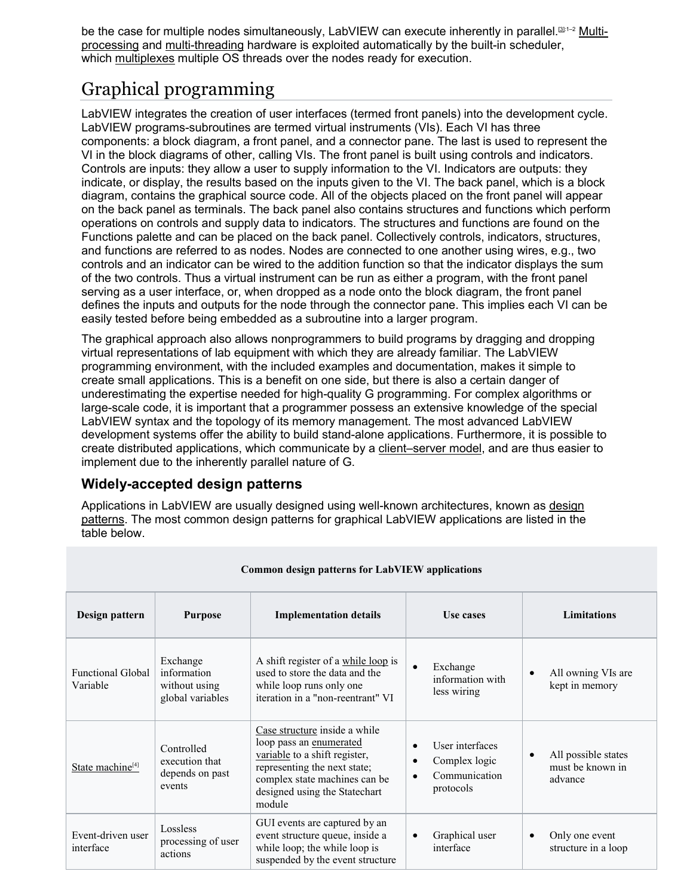be the case for multiple nodes simultaneously, LabVIEW can execute inherently in parallel.[3]:1-2 Multiprocessing and multi-threading hardware is exploited automatically by the built-in scheduler, which multiplexes multiple OS threads over the nodes ready for execution.

# Graphical programming

LabVIEW integrates the creation of user interfaces (termed front panels) into the development cycle. LabVIEW programs-subroutines are termed virtual instruments (VIs). Each VI has three components: a block diagram, a front panel, and a connector pane. The last is used to represent the VI in the block diagrams of other, calling VIs. The front panel is built using controls and indicators. Controls are inputs: they allow a user to supply information to the VI. Indicators are outputs: they indicate, or display, the results based on the inputs given to the VI. The back panel, which is a block diagram, contains the graphical source code. All of the objects placed on the front panel will appear on the back panel as terminals. The back panel also contains structures and functions which perform operations on controls and supply data to indicators. The structures and functions are found on the Functions palette and can be placed on the back panel. Collectively controls, indicators, structures, and functions are referred to as nodes. Nodes are connected to one another using wires, e.g., two controls and an indicator can be wired to the addition function so that the indicator displays the sum of the two controls. Thus a virtual instrument can be run as either a program, with the front panel serving as a user interface, or, when dropped as a node onto the block diagram, the front panel defines the inputs and outputs for the node through the connector pane. This implies each VI can be easily tested before being embedded as a subroutine into a larger program.

The graphical approach also allows nonprogrammers to build programs by dragging and dropping virtual representations of lab equipment with which they are already familiar. The LabVIEW programming environment, with the included examples and documentation, makes it simple to create small applications. This is a benefit on one side, but there is also a certain danger of underestimating the expertise needed for high-quality G programming. For complex algorithms or large-scale code, it is important that a programmer possess an extensive knowledge of the special LabVIEW syntax and the topology of its memory management. The most advanced LabVIEW development systems offer the ability to build stand-alone applications. Furthermore, it is possible to create distributed applications, which communicate by a client–server model, and are thus easier to implement due to the inherently parallel nature of G.

#### **Widely-accepted design patterns**

Applications in LabVIEW are usually designed using well-known architectures, known as design patterns. The most common design patterns for graphical LabVIEW applications are listed in the table below.

| Design pattern                       | <b>Purpose</b>                                               | <b>Implementation details</b>                                                                                                                                                                         | Use cases                                                                                | <b>Limitations</b>                                 |
|--------------------------------------|--------------------------------------------------------------|-------------------------------------------------------------------------------------------------------------------------------------------------------------------------------------------------------|------------------------------------------------------------------------------------------|----------------------------------------------------|
| <b>Functional Global</b><br>Variable | Exchange<br>information<br>without using<br>global variables | A shift register of a while loop is<br>used to store the data and the<br>while loop runs only one<br>iteration in a "non-reentrant" VI                                                                | Exchange<br>$\bullet$<br>information with<br>less wiring                                 | All owning VIs are<br>kept in memory               |
| State machine <sup>[4]</sup>         | Controlled<br>execution that<br>depends on past<br>events    | Case structure inside a while<br>loop pass an enumerated<br>variable to a shift register,<br>representing the next state;<br>complex state machines can be<br>designed using the Statechart<br>module | User interfaces<br>Complex logic<br>$\bullet$<br>Communication<br>$\bullet$<br>protocols | All possible states<br>must be known in<br>advance |
| Event-driven user<br>interface       | Lossless<br>processing of user<br>actions                    | GUI events are captured by an<br>event structure queue, inside a<br>while loop; the while loop is<br>suspended by the event structure                                                                 | Graphical user<br>$\bullet$<br>interface                                                 | Only one event<br>structure in a loop              |

#### **Common design patterns for LabVIEW applications**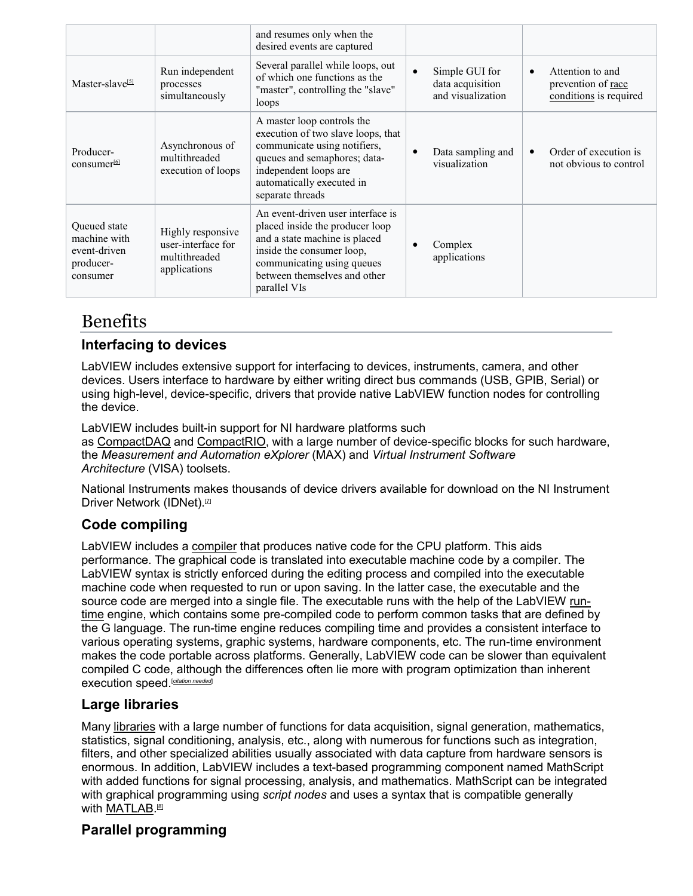|                                                                       |                                                                          | and resumes only when the<br>desired events are captured                                                                                                                                                         |                                                         |                                                                  |
|-----------------------------------------------------------------------|--------------------------------------------------------------------------|------------------------------------------------------------------------------------------------------------------------------------------------------------------------------------------------------------------|---------------------------------------------------------|------------------------------------------------------------------|
| Master-slave <sup>[5]</sup>                                           | Run independent<br>processes<br>simultaneously                           | Several parallel while loops, out<br>of which one functions as the<br>"master", controlling the "slave"<br>loops                                                                                                 | Simple GUI for<br>data acquisition<br>and visualization | Attention to and<br>prevention of race<br>conditions is required |
| Producer-<br>consumer <sup>[6]</sup>                                  | Asynchronous of<br>multithreaded<br>execution of loops                   | A master loop controls the<br>execution of two slave loops, that<br>communicate using notifiers,<br>queues and semaphores; data-<br>independent loops are<br>automatically executed in<br>separate threads       | Data sampling and<br>visualization                      | Order of execution is<br>not obvious to control                  |
| Queued state<br>machine with<br>event-driven<br>producer-<br>consumer | Highly responsive<br>user-interface for<br>multithreaded<br>applications | An event-driven user interface is<br>placed inside the producer loop<br>and a state machine is placed<br>inside the consumer loop,<br>communicating using queues<br>between themselves and other<br>parallel VIs | Complex<br>$\bullet$<br>applications                    |                                                                  |

# Benefits

#### **Interfacing to devices**

LabVIEW includes extensive support for interfacing to devices, instruments, camera, and other devices. Users interface to hardware by either writing direct bus commands (USB, GPIB, Serial) or using high-level, device-specific, drivers that provide native LabVIEW function nodes for controlling the device.

LabVIEW includes built-in support for NI hardware platforms such

as CompactDAQ and CompactRIO, with a large number of device-specific blocks for such hardware, the *Measurement and Automation eXplorer* (MAX) and *Virtual Instrument Software Architecture* (VISA) toolsets.

National Instruments makes thousands of device drivers available for download on the NI Instrument Driver Network (IDNet).<sup>[2]</sup>

#### **Code compiling**

LabVIEW includes a compiler that produces native code for the CPU platform. This aids performance. The graphical code is translated into executable machine code by a compiler. The LabVIEW syntax is strictly enforced during the editing process and compiled into the executable machine code when requested to run or upon saving. In the latter case, the executable and the source code are merged into a single file. The executable runs with the help of the LabVIEW runtime engine, which contains some pre-compiled code to perform common tasks that are defined by the G language. The run-time engine reduces compiling time and provides a consistent interface to various operating systems, graphic systems, hardware components, etc. The run-time environment makes the code portable across platforms. Generally, LabVIEW code can be slower than equivalent compiled C code, although the differences often lie more with program optimization than inherent execution speed.[*citation needed*]

#### **Large libraries**

Many libraries with a large number of functions for data acquisition, signal generation, mathematics, statistics, signal conditioning, analysis, etc., along with numerous for functions such as integration, filters, and other specialized abilities usually associated with data capture from hardware sensors is enormous. In addition, LabVIEW includes a text-based programming component named MathScript with added functions for signal processing, analysis, and mathematics. MathScript can be integrated with graphical programming using *script nodes* and uses a syntax that is compatible generally with <u>MATLAB</u>.<sup>⊠</sup>

#### **Parallel programming**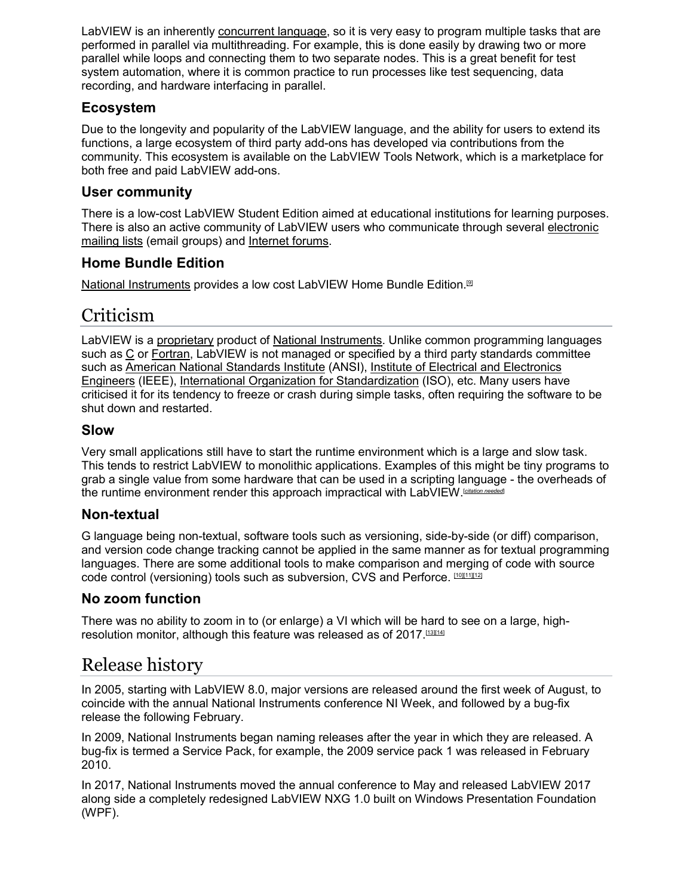LabVIEW is an inherently concurrent language, so it is very easy to program multiple tasks that are performed in parallel via multithreading. For example, this is done easily by drawing two or more parallel while loops and connecting them to two separate nodes. This is a great benefit for test system automation, where it is common practice to run processes like test sequencing, data recording, and hardware interfacing in parallel.

#### **Ecosystem**

Due to the longevity and popularity of the LabVIEW language, and the ability for users to extend its functions, a large ecosystem of third party add-ons has developed via contributions from the community. This ecosystem is available on the LabVIEW Tools Network, which is a marketplace for both free and paid LabVIEW add-ons.

#### **User community**

There is a low-cost LabVIEW Student Edition aimed at educational institutions for learning purposes. There is also an active community of LabVIEW users who communicate through several electronic mailing lists (email groups) and Internet forums.

#### **Home Bundle Edition**

National Instruments provides a low cost LabVIEW Home Bundle Edition.<sup>[9]</sup>

### Criticism

LabVIEW is a proprietary product of National Instruments. Unlike common programming languages such as C or Fortran, LabVIEW is not managed or specified by a third party standards committee such as American National Standards Institute (ANSI), Institute of Electrical and Electronics Engineers (IEEE), International Organization for Standardization (ISO), etc. Many users have criticised it for its tendency to freeze or crash during simple tasks, often requiring the software to be shut down and restarted.

#### **Slow**

Very small applications still have to start the runtime environment which is a large and slow task. This tends to restrict LabVIEW to monolithic applications. Examples of this might be tiny programs to grab a single value from some hardware that can be used in a scripting language - the overheads of the runtime environment render this approach impractical with LabVIEW.[*citation needed*]

#### **Non-textual**

G language being non-textual, software tools such as versioning, side-by-side (or diff) comparison, and version code change tracking cannot be applied in the same manner as for textual programming languages. There are some additional tools to make comparison and merging of code with source code control (versioning) tools such as subversion, CVS and Perforce. [10][11][12]

#### **No zoom function**

There was no ability to zoom in to (or enlarge) a VI which will be hard to see on a large, highresolution monitor, although this feature was released as of 2017.[13][14]

### Release history

In 2005, starting with LabVIEW 8.0, major versions are released around the first week of August, to coincide with the annual National Instruments conference NI Week, and followed by a bug-fix release the following February.

In 2009, National Instruments began naming releases after the year in which they are released. A bug-fix is termed a Service Pack, for example, the 2009 service pack 1 was released in February 2010.

In 2017, National Instruments moved the annual conference to May and released LabVIEW 2017 along side a completely redesigned LabVIEW NXG 1.0 built on Windows Presentation Foundation (WPF).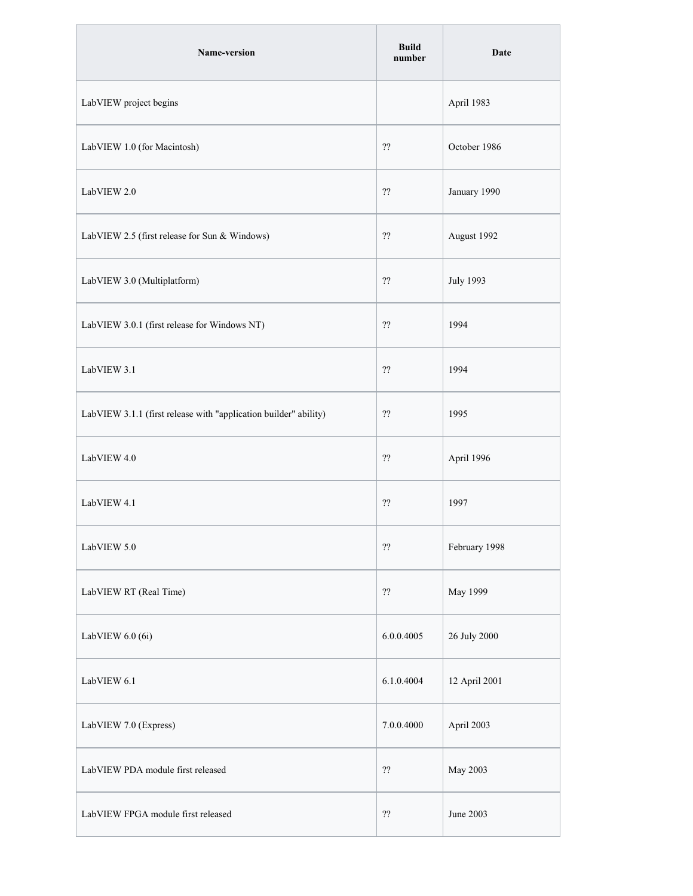| Name-version                                                     | <b>Build</b><br>number | Date             |
|------------------------------------------------------------------|------------------------|------------------|
| LabVIEW project begins                                           |                        | April 1983       |
| LabVIEW 1.0 (for Macintosh)                                      | $\mathbf{?}\mathbf{?}$ | October 1986     |
| LabVIEW 2.0                                                      | $\mathbf{?}\mathbf{?}$ | January 1990     |
| LabVIEW 2.5 (first release for Sun & Windows)                    | $\mathbf{?}\mathbf{?}$ | August 1992      |
| LabVIEW 3.0 (Multiplatform)                                      | $\mathbf{?}\mathbf{?}$ | <b>July 1993</b> |
| LabVIEW 3.0.1 (first release for Windows NT)                     | $\mathbf{?}\mathbf{?}$ | 1994             |
| LabVIEW 3.1                                                      | $\mathbf{?}\mathbf{?}$ | 1994             |
| LabVIEW 3.1.1 (first release with "application builder" ability) | $\mathbf{?}\mathbf{?}$ | 1995             |
| LabVIEW 4.0                                                      | $\mathbf{?}\mathbf{?}$ | April 1996       |
| LabVIEW 4.1                                                      | $\mathbf{?}\mathbf{?}$ | 1997             |
| LabVIEW 5.0                                                      | $\mathbf{?}\mathbf{?}$ | February 1998    |
| LabVIEW RT (Real Time)                                           | $\mathbf{?}\mathbf{?}$ | May 1999         |
| LabVIEW 6.0 (6i)                                                 | 6.0.0.4005             | 26 July 2000     |
| LabVIEW 6.1                                                      | 6.1.0.4004             | 12 April 2001    |
| LabVIEW 7.0 (Express)                                            | 7.0.0.4000             | April 2003       |
| LabVIEW PDA module first released                                | $\mathbf{?}\mathbf{?}$ | May 2003         |
| LabVIEW FPGA module first released                               | $\mathbf{?}\mathbf{?}$ | June 2003        |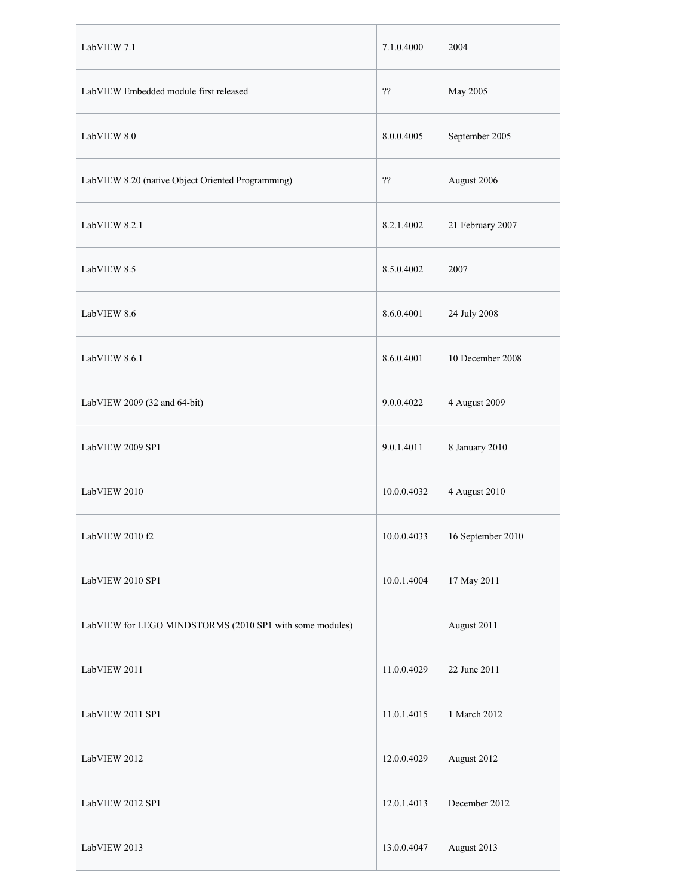| LabVIEW 7.1                                              | 7.1.0.4000             | 2004              |
|----------------------------------------------------------|------------------------|-------------------|
| LabVIEW Embedded module first released                   | ??                     | May 2005          |
| LabVIEW 8.0                                              | 8.0.0.4005             | September 2005    |
| LabVIEW 8.20 (native Object Oriented Programming)        | $\mathbf{?}\mathbf{?}$ | August 2006       |
| LabVIEW 8.2.1                                            | 8.2.1.4002             | 21 February 2007  |
| LabVIEW 8.5                                              | 8.5.0.4002             | 2007              |
| LabVIEW 8.6                                              | 8.6.0.4001             | 24 July 2008      |
| LabVIEW 8.6.1                                            | 8.6.0.4001             | 10 December 2008  |
| LabVIEW 2009 (32 and 64-bit)                             | 9.0.0.4022             | 4 August 2009     |
| LabVIEW 2009 SP1                                         | 9.0.1.4011             | 8 January 2010    |
| LabVIEW 2010                                             | 10.0.0.4032            | 4 August 2010     |
| LabVIEW 2010 f2                                          | 10.0.0.4033            | 16 September 2010 |
| LabVIEW 2010 SP1                                         | 10.0.1.4004            | 17 May 2011       |
| LabVIEW for LEGO MINDSTORMS (2010 SP1 with some modules) |                        | August 2011       |
| LabVIEW 2011                                             | 11.0.0.4029            | 22 June 2011      |
| LabVIEW 2011 SP1                                         | 11.0.1.4015            | 1 March 2012      |
| LabVIEW 2012                                             | 12.0.0.4029            | August 2012       |
| LabVIEW 2012 SP1                                         | 12.0.1.4013            | December 2012     |
| LabVIEW 2013                                             | 13.0.0.4047            | August 2013       |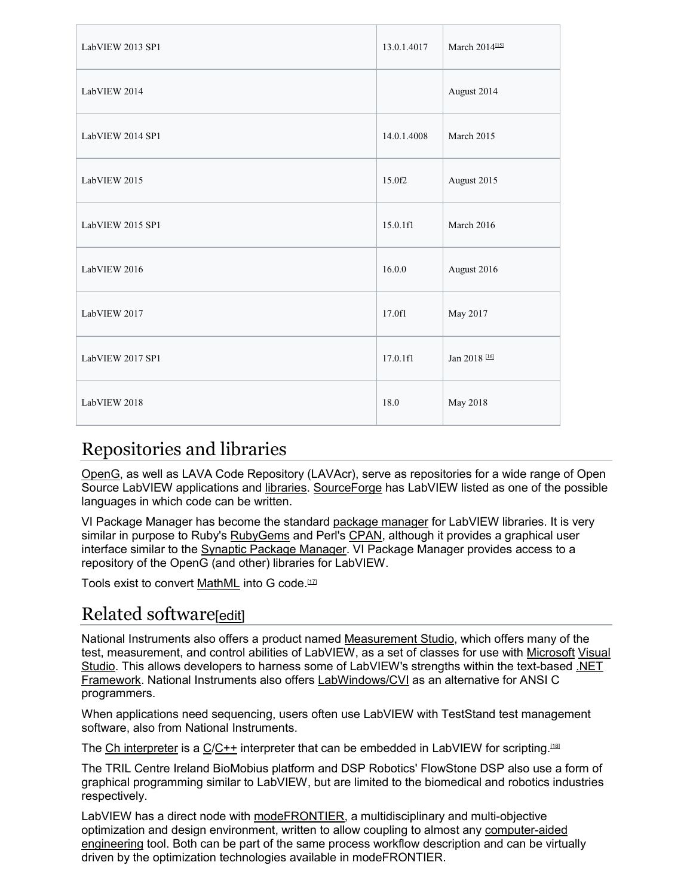| LabVIEW 2013 SP1 | 13.0.1.4017 | March 2014[15]           |
|------------------|-------------|--------------------------|
| LabVIEW 2014     |             | August 2014              |
| LabVIEW 2014 SP1 | 14.0.1.4008 | March 2015               |
| LabVIEW 2015     | 15.0f2      | August 2015              |
| LabVIEW 2015 SP1 | 15.0.1f1    | March 2016               |
| LabVIEW 2016     | 16.0.0      | August 2016              |
| LabVIEW 2017     | 17.0f1      | May 2017                 |
| LabVIEW 2017 SP1 | 17.0.1f1    | Jan 2018 <sup>[16]</sup> |
| LabVIEW 2018     | 18.0        | May 2018                 |

## Repositories and libraries

OpenG, as well as LAVA Code Repository (LAVAcr), serve as repositories for a wide range of Open Source LabVIEW applications and libraries. SourceForge has LabVIEW listed as one of the possible languages in which code can be written.

VI Package Manager has become the standard package manager for LabVIEW libraries. It is very similar in purpose to Ruby's RubyGems and Perl's CPAN, although it provides a graphical user interface similar to the Synaptic Package Manager. VI Package Manager provides access to a repository of the OpenG (and other) libraries for LabVIEW.

Tools exist to convert MathML into G code.[17]

# Related software[edit]

National Instruments also offers a product named Measurement Studio, which offers many of the test, measurement, and control abilities of LabVIEW, as a set of classes for use with Microsoft Visual Studio. This allows developers to harness some of LabVIEW's strengths within the text-based .NET Framework. National Instruments also offers LabWindows/CVI as an alternative for ANSI C programmers.

When applications need sequencing, users often use LabVIEW with TestStand test management software, also from National Instruments.

The Ch interpreter is a  $C/C++$  interpreter that can be embedded in LabVIEW for scripting.<sup>[18]</sup>

The TRIL Centre Ireland BioMobius platform and DSP Robotics' FlowStone DSP also use a form of graphical programming similar to LabVIEW, but are limited to the biomedical and robotics industries respectively.

LabVIEW has a direct node with modeFRONTIER, a multidisciplinary and multi-objective optimization and design environment, written to allow coupling to almost any computer-aided engineering tool. Both can be part of the same process workflow description and can be virtually driven by the optimization technologies available in modeFRONTIER.